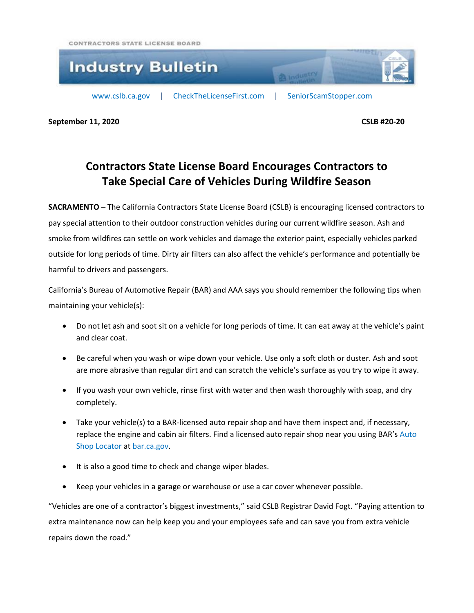CONTRACTORS STATE LICENSE BOARD



**September 11, 2020 CSLB #20-20**

## **Contractors State License Board Encourages Contractors to Take Special Care of Vehicles During Wildfire Season**

**SACRAMENTO** – The California Contractors State License Board (CSLB) is encouraging licensed contractors to pay special attention to their outdoor construction vehicles during our current wildfire season. Ash and smoke from wildfires can settle on work vehicles and damage the exterior paint, especially vehicles parked outside for long periods of time. Dirty air filters can also affect the vehicle's performance and potentially be harmful to drivers and passengers.

California's Bureau of Automotive Repair (BAR) and AAA says you should remember the following tips when maintaining your vehicle(s):

- Do not let ash and soot sit on a vehicle for long periods of time. It can eat away at the vehicle's paint and clear coat.
- Be careful when you wash or wipe down your vehicle. Use only a soft cloth or duster. Ash and soot are more abrasive than regular dirt and can scratch the vehicle's surface as you try to wipe it away.
- If you wash your own vehicle, rinse first with water and then wash thoroughly with soap, and dry completely.
- Take your vehicle(s) to a BAR-licensed auto repair shop and have them inspect and, if necessary, replace the engine and cabin air filters. Find a licensed auto repair shop near you using BAR's [Auto](https://www.bar.ca.gov/pubwebquery/ard/search.aspx?lat=38.6932707&lng=-121.06686769999999) [Shop Locator](https://www.bar.ca.gov/pubwebquery/ard/search.aspx?lat=38.6932707&lng=-121.06686769999999) at [bar.ca.gov.](http://www.bar.ca.gov/)
- It is also a good time to check and change wiper blades.
- Keep your vehicles in a garage or warehouse or use a car cover whenever possible.

"Vehicles are one of a contractor's biggest investments," said CSLB Registrar David Fogt. "Paying attention to extra maintenance now can help keep you and your employees safe and can save you from extra vehicle repairs down the road."